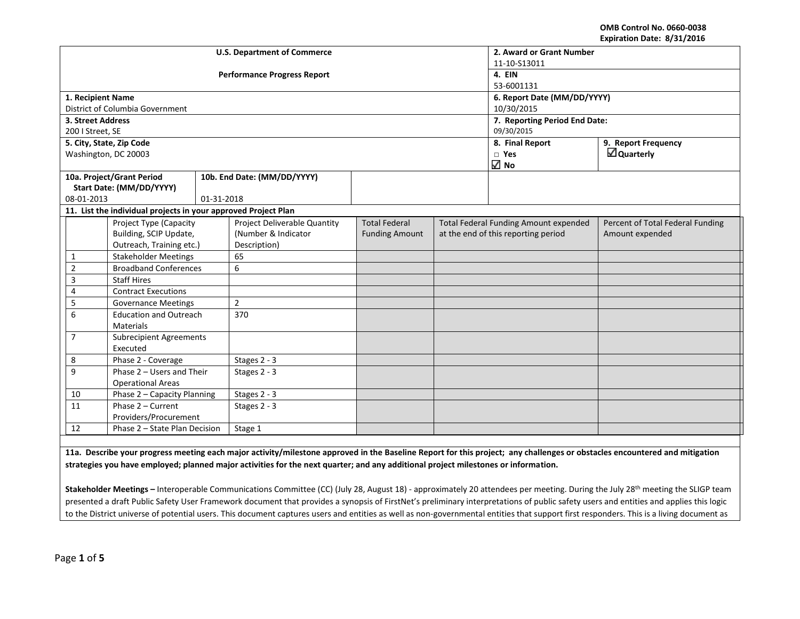**OMB Control No. 0660-0038 Expiration Date: 8/31/2016**

|                                     |                                                                |              | <b>U.S. Department of Commerce</b> | 2. Award or Grant Number      |                                              |                                     |                                  |  |
|-------------------------------------|----------------------------------------------------------------|--------------|------------------------------------|-------------------------------|----------------------------------------------|-------------------------------------|----------------------------------|--|
|                                     |                                                                |              |                                    | 11-10-S13011                  |                                              |                                     |                                  |  |
|                                     |                                                                |              | <b>Performance Progress Report</b> | 4. EIN                        |                                              |                                     |                                  |  |
|                                     |                                                                |              |                                    |                               |                                              | 53-6001131                          |                                  |  |
| 1. Recipient Name                   |                                                                |              |                                    |                               |                                              | 6. Report Date (MM/DD/YYYY)         |                                  |  |
|                                     | District of Columbia Government                                |              |                                    |                               |                                              | 10/30/2015                          |                                  |  |
| 3. Street Address                   |                                                                |              |                                    | 7. Reporting Period End Date: |                                              |                                     |                                  |  |
| 200   Street, SE                    |                                                                |              |                                    |                               |                                              | 09/30/2015                          |                                  |  |
|                                     | 5. City, State, Zip Code                                       |              |                                    |                               |                                              | 8. Final Report                     | 9. Report Frequency              |  |
| Washington, DC 20003                |                                                                |              |                                    |                               |                                              | $\Box$ Yes                          | $\Box$ Quarterly                 |  |
|                                     |                                                                |              |                                    |                               |                                              | $\sqrt{ }$ No                       |                                  |  |
| 10a. Project/Grant Period           |                                                                |              | 10b. End Date: (MM/DD/YYYY)        |                               |                                              |                                     |                                  |  |
|                                     | Start Date: (MM/DD/YYYY)                                       |              |                                    |                               |                                              |                                     |                                  |  |
| 08-01-2013                          |                                                                | 01-31-2018   |                                    |                               |                                              |                                     |                                  |  |
|                                     | 11. List the individual projects in your approved Project Plan |              |                                    |                               |                                              |                                     |                                  |  |
|                                     | Project Type (Capacity                                         |              | Project Deliverable Quantity       | <b>Total Federal</b>          | <b>Total Federal Funding Amount expended</b> |                                     | Percent of Total Federal Funding |  |
|                                     | Building, SCIP Update,                                         |              | (Number & Indicator                | <b>Funding Amount</b>         |                                              | at the end of this reporting period | Amount expended                  |  |
|                                     | Outreach, Training etc.)                                       |              | Description)                       |                               |                                              |                                     |                                  |  |
| $\mathbf{1}$                        | <b>Stakeholder Meetings</b>                                    |              | 65                                 |                               |                                              |                                     |                                  |  |
| $\overline{2}$                      | <b>Broadband Conferences</b>                                   |              | 6                                  |                               |                                              |                                     |                                  |  |
| $\overline{3}$                      | <b>Staff Hires</b>                                             |              |                                    |                               |                                              |                                     |                                  |  |
| $\overline{4}$                      | <b>Contract Executions</b>                                     |              |                                    |                               |                                              |                                     |                                  |  |
| 5                                   | <b>Governance Meetings</b>                                     |              | $\overline{2}$                     |                               |                                              |                                     |                                  |  |
| 6                                   | <b>Education and Outreach</b>                                  |              | 370                                |                               |                                              |                                     |                                  |  |
|                                     | <b>Materials</b>                                               |              |                                    |                               |                                              |                                     |                                  |  |
|                                     | $\overline{7}$<br><b>Subrecipient Agreements</b>               |              |                                    |                               |                                              |                                     |                                  |  |
|                                     | Executed                                                       |              |                                    |                               |                                              |                                     |                                  |  |
| 8                                   | Phase 2 - Coverage                                             |              | Stages 2 - 3                       |                               |                                              |                                     |                                  |  |
|                                     | 9<br>Phase 2 - Users and Their                                 |              | Stages 2 - 3                       |                               |                                              |                                     |                                  |  |
| <b>Operational Areas</b>            |                                                                |              |                                    |                               |                                              |                                     |                                  |  |
| 10                                  | Phase 2 - Capacity Planning                                    |              | Stages 2 - 3                       |                               |                                              |                                     |                                  |  |
| 11<br>Phase 2 - Current             |                                                                | Stages 2 - 3 |                                    |                               |                                              |                                     |                                  |  |
| Providers/Procurement               |                                                                |              |                                    |                               |                                              |                                     |                                  |  |
| Phase 2 - State Plan Decision<br>12 |                                                                | Stage 1      |                                    |                               |                                              |                                     |                                  |  |

**11a. Describe your progress meeting each major activity/milestone approved in the Baseline Report for this project; any challenges or obstacles encountered and mitigation strategies you have employed; planned major activities for the next quarter; and any additional project milestones or information.**

Stakeholder Meetings - Interoperable Communications Committee (CC) (July 28, August 18) - approximately 20 attendees per meeting. During the July 28<sup>th</sup> meeting the SLIGP team presented a draft Public Safety User Framework document that provides a synopsis of FirstNet's preliminary interpretations of public safety users and entities and applies this logic to the District universe of potential users. This document captures users and entities as well as non-governmental entities that support first responders. This is a living document as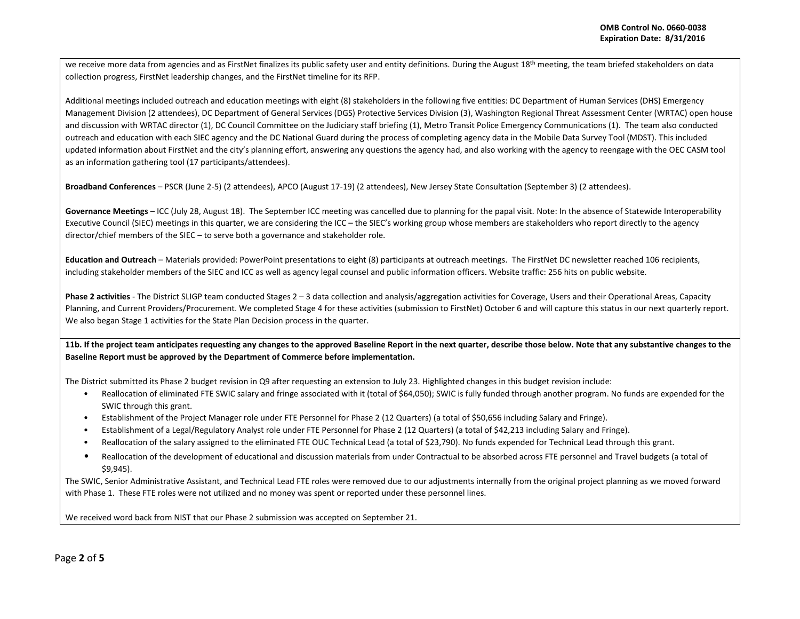we receive more data from agencies and as FirstNet finalizes its public safety user and entity definitions. During the August 18<sup>th</sup> meeting, the team briefed stakeholders on data collection progress, FirstNet leadership changes, and the FirstNet timeline for its RFP.

Additional meetings included outreach and education meetings with eight (8) stakeholders in the following five entities: DC Department of Human Services (DHS) Emergency Management Division (2 attendees), DC Department of General Services (DGS) Protective Services Division (3), Washington Regional Threat Assessment Center (WRTAC) open house and discussion with WRTAC director (1), DC Council Committee on the Judiciary staff briefing (1), Metro Transit Police Emergency Communications (1). The team also conducted outreach and education with each SIEC agency and the DC National Guard during the process of completing agency data in the Mobile Data Survey Tool (MDST). This included updated information about FirstNet and the city's planning effort, answering any questions the agency had, and also working with the agency to reengage with the OEC CASM tool as an information gathering tool (17 participants/attendees).

**Broadband Conferences** – PSCR (June 2-5) (2 attendees), APCO (August 17-19) (2 attendees), New Jersey State Consultation (September 3) (2 attendees).

**Governance Meetings** – ICC (July 28, August 18). The September ICC meeting was cancelled due to planning for the papal visit. Note: In the absence of Statewide Interoperability Executive Council (SIEC) meetings in this quarter, we are considering the ICC – the SIEC's working group whose members are stakeholders who report directly to the agency director/chief members of the SIEC – to serve both a governance and stakeholder role.

**Education and Outreach** – Materials provided: PowerPoint presentations to eight (8) participants at outreach meetings. The FirstNet DC newsletter reached 106 recipients, including stakeholder members of the SIEC and ICC as well as agency legal counsel and public information officers. Website traffic: 256 hits on public website.

**Phase 2 activities** - The District SLIGP team conducted Stages 2 – 3 data collection and analysis/aggregation activities for Coverage, Users and their Operational Areas, Capacity Planning, and Current Providers/Procurement. We completed Stage 4 for these activities (submission to FirstNet) October 6 and will capture this status in our next quarterly report. We also began Stage 1 activities for the State Plan Decision process in the quarter.

**11b. If the project team anticipates requesting any changes to the approved Baseline Report in the next quarter, describe those below. Note that any substantive changes to the Baseline Report must be approved by the Department of Commerce before implementation.** 

The District submitted its Phase 2 budget revision in Q9 after requesting an extension to July 23. Highlighted changes in this budget revision include:

- Reallocation of eliminated FTE SWIC salary and fringe associated with it (total of \$64,050); SWIC is fully funded through another program. No funds are expended for the SWIC through this grant.
- Establishment of the Project Manager role under FTE Personnel for Phase 2 (12 Quarters) (a total of \$50,656 including Salary and Fringe).
- Establishment of a Legal/Regulatory Analyst role under FTE Personnel for Phase 2 (12 Quarters) (a total of \$42,213 including Salary and Fringe).
- Reallocation of the salary assigned to the eliminated FTE OUC Technical Lead (a total of \$23,790). No funds expended for Technical Lead through this grant.
- Reallocation of the development of educational and discussion materials from under Contractual to be absorbed across FTE personnel and Travel budgets (a total of \$9,945).

The SWIC, Senior Administrative Assistant, and Technical Lead FTE roles were removed due to our adjustments internally from the original project planning as we moved forward with Phase 1. These FTE roles were not utilized and no money was spent or reported under these personnel lines.

We received word back from NIST that our Phase 2 submission was accepted on September 21.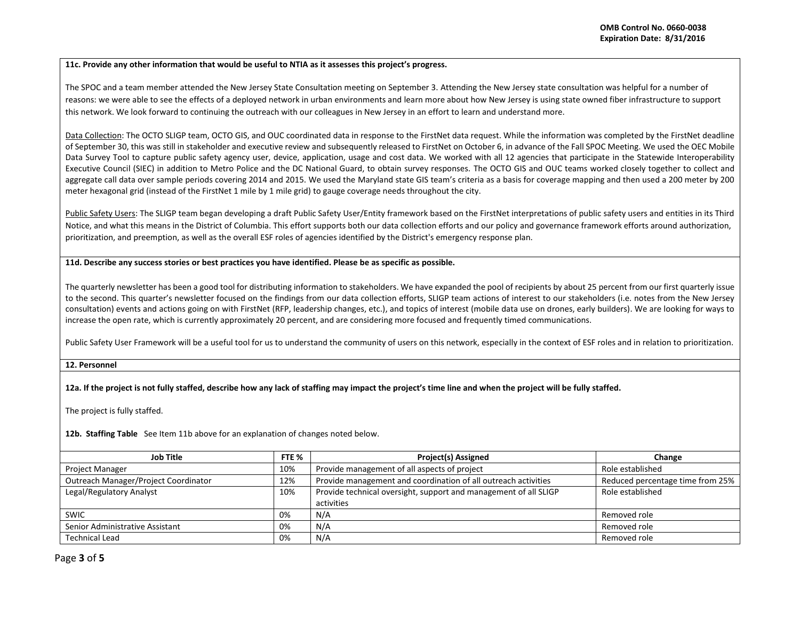## **11c. Provide any other information that would be useful to NTIA as it assesses this project's progress.**

The SPOC and a team member attended the New Jersey State Consultation meeting on September 3. Attending the New Jersey state consultation was helpful for a number of reasons: we were able to see the effects of a deployed network in urban environments and learn more about how New Jersey is using state owned fiber infrastructure to support this network. We look forward to continuing the outreach with our colleagues in New Jersey in an effort to learn and understand more.

Data Collection: The OCTO SLIGP team, OCTO GIS, and OUC coordinated data in response to the FirstNet data request. While the information was completed by the FirstNet deadline of September 30, this was still in stakeholder and executive review and subsequently released to FirstNet on October 6, in advance of the Fall SPOC Meeting. We used the OEC Mobile Data Survey Tool to capture public safety agency user, device, application, usage and cost data. We worked with all 12 agencies that participate in the Statewide Interoperability Executive Council (SIEC) in addition to Metro Police and the DC National Guard, to obtain survey responses. The OCTO GIS and OUC teams worked closely together to collect and aggregate call data over sample periods covering 2014 and 2015. We used the Maryland state GIS team's criteria as a basis for coverage mapping and then used a 200 meter by 200 meter hexagonal grid (instead of the FirstNet 1 mile by 1 mile grid) to gauge coverage needs throughout the city.

Public Safety Users: The SLIGP team began developing a draft Public Safety User/Entity framework based on the FirstNet interpretations of public safety users and entities in its Third Notice, and what this means in the District of Columbia. This effort supports both our data collection efforts and our policy and governance framework efforts around authorization, prioritization, and preemption, as well as the overall ESF roles of agencies identified by the District's emergency response plan.

## **11d. Describe any success stories or best practices you have identified. Please be as specific as possible.**

The quarterly newsletter has been a good tool for distributing information to stakeholders. We have expanded the pool of recipients by about 25 percent from our first quarterly issue to the second. This quarter's newsletter focused on the findings from our data collection efforts, SLIGP team actions of interest to our stakeholders (i.e. notes from the New Jersey consultation) events and actions going on with FirstNet (RFP, leadership changes, etc.), and topics of interest (mobile data use on drones, early builders). We are looking for ways to increase the open rate, which is currently approximately 20 percent, and are considering more focused and frequently timed communications.

Public Safety User Framework will be a useful tool for us to understand the community of users on this network, especially in the context of ESF roles and in relation to prioritization.

## **12. Personnel**

## **12a. If the project is not fully staffed, describe how any lack of staffing may impact the project's time line and when the project will be fully staffed.**

The project is fully staffed.

**12b. Staffing Table** See Item 11b above for an explanation of changes noted below.

| Job Title                            | FTE % | <b>Project(s) Assigned</b>                                       | Change                           |
|--------------------------------------|-------|------------------------------------------------------------------|----------------------------------|
| <b>Project Manager</b>               | 10%   | Provide management of all aspects of project                     | Role established                 |
| Outreach Manager/Project Coordinator | 12%   | Provide management and coordination of all outreach activities   | Reduced percentage time from 25% |
| Legal/Regulatory Analyst             | 10%   | Provide technical oversight, support and management of all SLIGP | Role established                 |
|                                      |       | activities                                                       |                                  |
| <b>SWIC</b>                          | 0%    | N/A                                                              | Removed role                     |
| Senior Administrative Assistant      | 0%    | N/A                                                              | Removed role                     |
| <b>Technical Lead</b>                | 0%    | N/A                                                              | Removed role                     |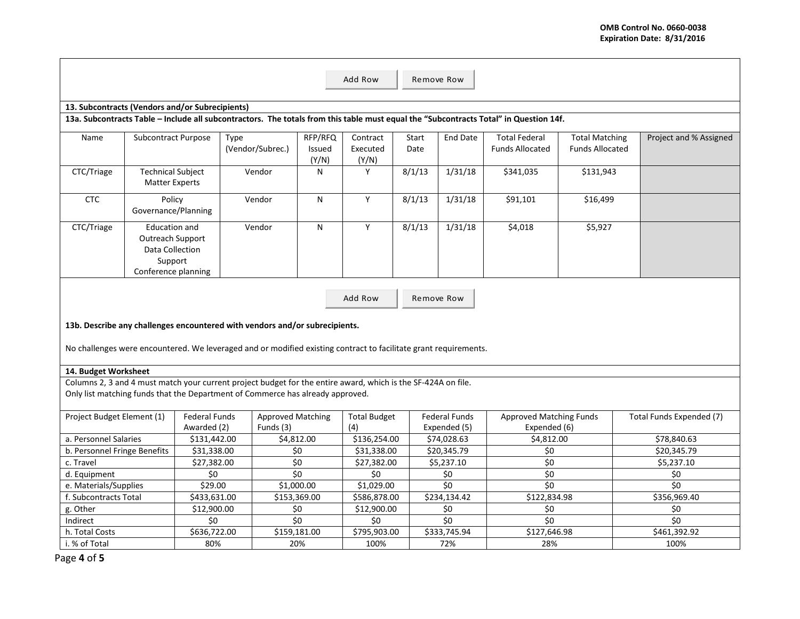|                                                                                                                                                                                                 | Add Row<br>Remove Row                                                                                |                                     |                  |                            |                   |                              |                                      |                                                |                        |                          |
|-------------------------------------------------------------------------------------------------------------------------------------------------------------------------------------------------|------------------------------------------------------------------------------------------------------|-------------------------------------|------------------|----------------------------|-------------------|------------------------------|--------------------------------------|------------------------------------------------|------------------------|--------------------------|
|                                                                                                                                                                                                 |                                                                                                      |                                     |                  |                            |                   |                              |                                      |                                                |                        |                          |
| 13. Subcontracts (Vendors and/or Subrecipients)<br>13a. Subcontracts Table - Include all subcontractors. The totals from this table must equal the "Subcontracts Total" in Question 14f.        |                                                                                                      |                                     |                  |                            |                   |                              |                                      |                                                |                        |                          |
| Name                                                                                                                                                                                            | Subcontract Purpose                                                                                  |                                     | Type             | RFP/RFQ                    | Contract          | Start                        | <b>End Date</b>                      | <b>Total Federal</b>                           | <b>Total Matching</b>  | Project and % Assigned   |
|                                                                                                                                                                                                 |                                                                                                      |                                     | (Vendor/Subrec.) | <b>Issued</b><br>(Y/N)     | Executed<br>(Y/N) | Date                         |                                      | <b>Funds Allocated</b>                         | <b>Funds Allocated</b> |                          |
| CTC/Triage                                                                                                                                                                                      | <b>Technical Subject</b><br><b>Matter Experts</b>                                                    |                                     | Vendor           | N                          | Y                 | 8/1/13                       | 1/31/18                              | \$341,035                                      | \$131,943              |                          |
| <b>CTC</b>                                                                                                                                                                                      | Policy<br>Governance/Planning                                                                        |                                     | Vendor           | N                          | Y                 | 8/1/13                       | 1/31/18                              | \$91,101                                       | \$16,499               |                          |
| CTC/Triage                                                                                                                                                                                      | <b>Education and</b><br><b>Outreach Support</b><br>Data Collection<br>Support<br>Conference planning |                                     | Vendor           | N                          | Y                 | 8/1/13                       | 1/31/18                              | \$4,018                                        | \$5,927                |                          |
|                                                                                                                                                                                                 |                                                                                                      |                                     |                  |                            |                   |                              |                                      |                                                |                        |                          |
|                                                                                                                                                                                                 |                                                                                                      |                                     |                  |                            | Add Row           |                              | Remove Row                           |                                                |                        |                          |
| 13b. Describe any challenges encountered with vendors and/or subrecipients.                                                                                                                     |                                                                                                      |                                     |                  |                            |                   |                              |                                      |                                                |                        |                          |
|                                                                                                                                                                                                 |                                                                                                      |                                     |                  |                            |                   |                              |                                      |                                                |                        |                          |
| No challenges were encountered. We leveraged and or modified existing contract to facilitate grant requirements.                                                                                |                                                                                                      |                                     |                  |                            |                   |                              |                                      |                                                |                        |                          |
| 14. Budget Worksheet                                                                                                                                                                            |                                                                                                      |                                     |                  |                            |                   |                              |                                      |                                                |                        |                          |
|                                                                                                                                                                                                 |                                                                                                      |                                     |                  |                            |                   |                              |                                      |                                                |                        |                          |
| Columns 2, 3 and 4 must match your current project budget for the entire award, which is the SF-424A on file.<br>Only list matching funds that the Department of Commerce has already approved. |                                                                                                      |                                     |                  |                            |                   |                              |                                      |                                                |                        |                          |
| Project Budget Element (1)                                                                                                                                                                      |                                                                                                      | <b>Federal Funds</b><br>Awarded (2) | Funds (3)        | <b>Approved Matching</b>   |                   | <b>Total Budget</b>          | <b>Federal Funds</b><br>Expended (5) | <b>Approved Matching Funds</b><br>Expended (6) |                        | Total Funds Expended (7) |
| a. Personnel Salaries                                                                                                                                                                           |                                                                                                      | \$131,442.00                        |                  | \$4,812.00                 |                   | \$136,254.00                 | \$74,028.63                          | \$4,812.00                                     |                        | \$78,840.63              |
| b. Personnel Fringe Benefits                                                                                                                                                                    |                                                                                                      | \$31,338.00                         |                  | \$0                        |                   | \$31,338.00                  | \$20,345.79                          | \$0                                            |                        | \$20,345.79              |
| c. Travel                                                                                                                                                                                       |                                                                                                      | \$27,382.00                         |                  | \$0                        |                   |                              | \$5,237.10                           | \$0                                            |                        | \$5,237.10               |
| d. Equipment                                                                                                                                                                                    |                                                                                                      | \$0                                 |                  | $\overline{\overline{50}}$ |                   | \$27,382.00<br>\$0           |                                      | $\overline{\xi_0}$                             |                        | \$0                      |
| e. Materials/Supplies                                                                                                                                                                           |                                                                                                      | \$29.00                             |                  | \$1,000.00                 |                   | \$0<br>\$1,029.00<br>\$0     |                                      | \$0                                            |                        | \$0                      |
| f. Subcontracts Total                                                                                                                                                                           |                                                                                                      | \$433.631.00                        |                  | \$153,369.00               |                   | \$586,878.00<br>\$234,134.42 |                                      | \$122.834.98                                   |                        | \$356,969.40             |
| g. Other                                                                                                                                                                                        |                                                                                                      | \$12,900.00                         |                  | \$0                        |                   | \$12,900.00                  | \$0                                  | \$0                                            |                        | \$0                      |
| Indirect                                                                                                                                                                                        |                                                                                                      | \$0                                 |                  | $\overline{50}$            | \$0               |                              | \$0                                  | $\overline{50}$                                |                        | \$0                      |
| h. Total Costs                                                                                                                                                                                  |                                                                                                      | \$636,722.00                        |                  | \$159,181.00               |                   | \$795,903.00                 | \$333,745.94                         | \$127,646.98                                   |                        | \$461,392.92             |
| i. % of Total                                                                                                                                                                                   |                                                                                                      | 80%                                 |                  | 20%                        | 100%              |                              | 72%                                  | 28%                                            |                        | 100%                     |